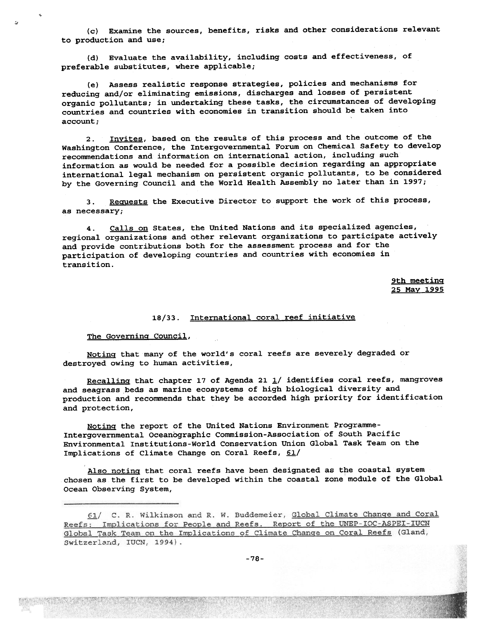(c) Examine the sources, benefits, risks and other considerations relevant to production and use;

(d) Evaluate the availability, including costs and effectiveness, of preferable substitutes, where applicable;

(e) Assess realistic response strategies, policies and mechanisms for reducing and/or eliminating emissions, discharges and losses of persistent organic pollutants; in undertaking these tasks, the circumstances of developing countries and countries with economies in transition should be taken into account;

2. Invites, based on the results of this process and the outcome of the washington Conference, the Intergovernmental Forum on Chemical Safety to develop recommendations and information on international action, including such information as would be needed for a possible decision regarding an appropriate international legal mechanism on persistent organic pollutants, to be considered by the Governing Council and the World Health Assembly no later than in 1997;

3. Requests the Executive Director to support the work of this process, as necessary;

4. Calls on States, the United Nations and its specialized agencies, regional organizations and other relevant organizations to participate actively and provide contributions both for the assessment process and for the participation of developing countries and countries with economies in transition.

> 9th meetinq 25 May 1995

## 18/33. International coral reef initiative

## The Governinq Council,

.

~

Notinq that many of the world's coral reefs are severely degraded or destroyed owing to human activities,

Recalling that chapter 17 of Agenda 21  $\frac{1}{2}$  identifies coral reefs, mangroves and seagrass beds as marine ecosystems of high biological diversity and production and recommends that they be accorded high priority for identification and protection,

Notinq the report of the United Nations Environment programme-Intergovernmental oceanographic Commission-Association of South Pacific Environmental Institutions-World Conservation Union Global Task Team on the Implications of Climate Change on Coral Reefs,  $61/$ 

Also notinq that coral reefs have been designated as the coastal system chosen as the first to be developed wjthin the coastal zone module of the Global Ocean Observing System,

<sup>61/</sup> C. R. Wilkinson and R. W. Buddemeier, Global Climate Change and Coral Reefs: Implications for People and Reefs. Report of the UNEP-IOC-ASPEI-IUCN Global Task Team on the Implications of Climate Change on Coral Reefs (Gland, Switzerland, IUCN, 1994).